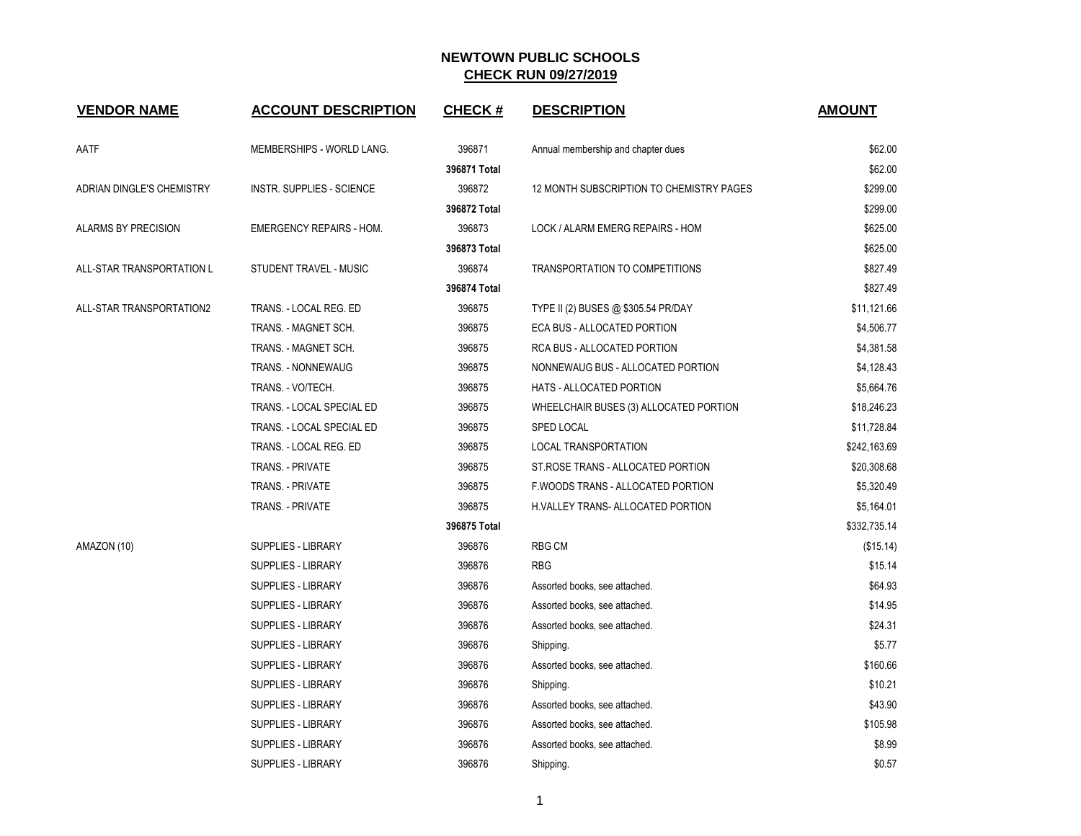| <b>VENDOR NAME</b>               | <b>ACCOUNT DESCRIPTION</b>      | <b>CHECK#</b> | <b>DESCRIPTION</b>                       | <b>AMOUNT</b> |
|----------------------------------|---------------------------------|---------------|------------------------------------------|---------------|
| AATF                             | MEMBERSHIPS - WORLD LANG.       | 396871        | Annual membership and chapter dues       | \$62.00       |
|                                  |                                 | 396871 Total  |                                          | \$62.00       |
| <b>ADRIAN DINGLE'S CHEMISTRY</b> | INSTR. SUPPLIES - SCIENCE       | 396872        | 12 MONTH SUBSCRIPTION TO CHEMISTRY PAGES | \$299.00      |
|                                  |                                 | 396872 Total  |                                          | \$299.00      |
| <b>ALARMS BY PRECISION</b>       | <b>EMERGENCY REPAIRS - HOM.</b> | 396873        | LOCK / ALARM EMERG REPAIRS - HOM         | \$625.00      |
|                                  |                                 | 396873 Total  |                                          | \$625.00      |
| ALL-STAR TRANSPORTATION L        | STUDENT TRAVEL - MUSIC          | 396874        | TRANSPORTATION TO COMPETITIONS           | \$827.49      |
|                                  |                                 | 396874 Total  |                                          | \$827.49      |
| ALL-STAR TRANSPORTATION2         | TRANS. - LOCAL REG. ED          | 396875        | TYPE II (2) BUSES @ \$305.54 PR/DAY      | \$11,121.66   |
|                                  | TRANS. - MAGNET SCH.            | 396875        | ECA BUS - ALLOCATED PORTION              | \$4,506.77    |
|                                  | TRANS. - MAGNET SCH.            | 396875        | RCA BUS - ALLOCATED PORTION              | \$4,381.58    |
|                                  | <b>TRANS. - NONNEWAUG</b>       | 396875        | NONNEWAUG BUS - ALLOCATED PORTION        | \$4,128.43    |
|                                  | TRANS. - VO/TECH.               | 396875        | HATS - ALLOCATED PORTION                 | \$5,664.76    |
|                                  | TRANS. - LOCAL SPECIAL ED       | 396875        | WHEELCHAIR BUSES (3) ALLOCATED PORTION   | \$18,246.23   |
|                                  | TRANS. - LOCAL SPECIAL ED       | 396875        | SPED LOCAL                               | \$11,728.84   |
|                                  | TRANS. - LOCAL REG. ED          | 396875        | LOCAL TRANSPORTATION                     | \$242,163.69  |
|                                  | TRANS. - PRIVATE                | 396875        | ST ROSE TRANS - ALLOCATED PORTION        | \$20,308.68   |
|                                  | <b>TRANS. - PRIVATE</b>         | 396875        | F.WOODS TRANS - ALLOCATED PORTION        | \$5,320.49    |
|                                  | TRANS. - PRIVATE                | 396875        | H.VALLEY TRANS- ALLOCATED PORTION        | \$5,164.01    |
|                                  |                                 | 396875 Total  |                                          | \$332,735.14  |
| AMAZON (10)                      | <b>SUPPLIES - LIBRARY</b>       | 396876        | <b>RBG CM</b>                            | (\$15.14)     |
|                                  | SUPPLIES - LIBRARY              | 396876        | <b>RBG</b>                               | \$15.14       |
|                                  | <b>SUPPLIES - LIBRARY</b>       | 396876        | Assorted books, see attached.            | \$64.93       |
|                                  | SUPPLIES - LIBRARY              | 396876        | Assorted books, see attached.            | \$14.95       |
|                                  | <b>SUPPLIES - LIBRARY</b>       | 396876        | Assorted books, see attached.            | \$24.31       |
|                                  | SUPPLIES - LIBRARY              | 396876        | Shipping.                                | \$5.77        |
|                                  | <b>SUPPLIES - LIBRARY</b>       | 396876        | Assorted books, see attached.            | \$160.66      |
|                                  | SUPPLIES - LIBRARY              | 396876        | Shipping.                                | \$10.21       |
|                                  | <b>SUPPLIES - LIBRARY</b>       | 396876        | Assorted books, see attached.            | \$43.90       |
|                                  | <b>SUPPLIES - LIBRARY</b>       | 396876        | Assorted books, see attached.            | \$105.98      |
|                                  | SUPPLIES - LIBRARY              | 396876        | Assorted books, see attached.            | \$8.99        |
|                                  | SUPPLIES - LIBRARY              | 396876        | Shipping.                                | \$0.57        |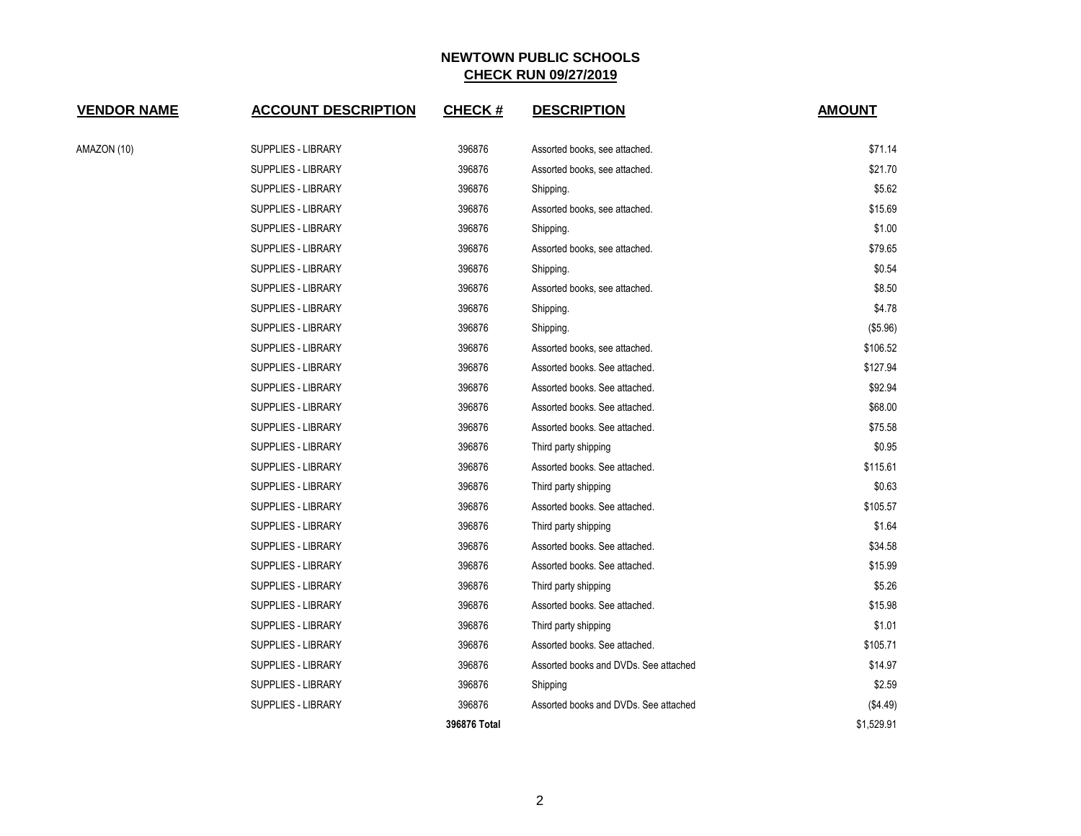| <u>VENDOR NAME</u> | <b>ACCOUNT DESCRIPTION</b> | <b>CHECK#</b> | <b>DESCRIPTION</b>                    | <b>AMOUNT</b> |
|--------------------|----------------------------|---------------|---------------------------------------|---------------|
| AMAZON (10)        | <b>SUPPLIES - LIBRARY</b>  | 396876        | Assorted books, see attached.         | \$71.14       |
|                    | <b>SUPPLIES - LIBRARY</b>  | 396876        | Assorted books, see attached.         | \$21.70       |
|                    | <b>SUPPLIES - LIBRARY</b>  | 396876        | Shipping.                             | \$5.62        |
|                    | SUPPLIES - LIBRARY         | 396876        | Assorted books, see attached.         | \$15.69       |
|                    | SUPPLIES - LIBRARY         | 396876        | Shipping.                             | \$1.00        |
|                    | <b>SUPPLIES - LIBRARY</b>  | 396876        | Assorted books, see attached.         | \$79.65       |
|                    | <b>SUPPLIES - LIBRARY</b>  | 396876        | Shipping.                             | \$0.54        |
|                    | SUPPLIES - LIBRARY         | 396876        | Assorted books, see attached.         | \$8.50        |
|                    | SUPPLIES - LIBRARY         | 396876        | Shipping.                             | \$4.78        |
|                    | SUPPLIES - LIBRARY         | 396876        | Shipping.                             | (\$5.96)      |
|                    | <b>SUPPLIES - LIBRARY</b>  | 396876        | Assorted books, see attached.         | \$106.52      |
|                    | <b>SUPPLIES - LIBRARY</b>  | 396876        | Assorted books. See attached.         | \$127.94      |
|                    | SUPPLIES - LIBRARY         | 396876        | Assorted books. See attached.         | \$92.94       |
|                    | <b>SUPPLIES - LIBRARY</b>  | 396876        | Assorted books. See attached.         | \$68.00       |
|                    | <b>SUPPLIES - LIBRARY</b>  | 396876        | Assorted books. See attached.         | \$75.58       |
|                    | SUPPLIES - LIBRARY         | 396876        | Third party shipping                  | \$0.95        |
|                    | SUPPLIES - LIBRARY         | 396876        | Assorted books. See attached.         | \$115.61      |
|                    | SUPPLIES - LIBRARY         | 396876        | Third party shipping                  | \$0.63        |
|                    | <b>SUPPLIES - LIBRARY</b>  | 396876        | Assorted books. See attached.         | \$105.57      |
|                    | <b>SUPPLIES - LIBRARY</b>  | 396876        | Third party shipping                  | \$1.64        |
|                    | SUPPLIES - LIBRARY         | 396876        | Assorted books. See attached.         | \$34.58       |
|                    | <b>SUPPLIES - LIBRARY</b>  | 396876        | Assorted books. See attached.         | \$15.99       |
|                    | <b>SUPPLIES - LIBRARY</b>  | 396876        | Third party shipping                  | \$5.26        |
|                    | <b>SUPPLIES - LIBRARY</b>  | 396876        | Assorted books. See attached.         | \$15.98       |
|                    | SUPPLIES - LIBRARY         | 396876        | Third party shipping                  | \$1.01        |
|                    | SUPPLIES - LIBRARY         | 396876        | Assorted books. See attached.         | \$105.71      |
|                    | <b>SUPPLIES - LIBRARY</b>  | 396876        | Assorted books and DVDs. See attached | \$14.97       |
|                    | <b>SUPPLIES - LIBRARY</b>  | 396876        | Shipping                              | \$2.59        |
|                    | SUPPLIES - LIBRARY         | 396876        | Assorted books and DVDs. See attached | (\$4.49)      |
|                    |                            | 396876 Total  |                                       | \$1,529.91    |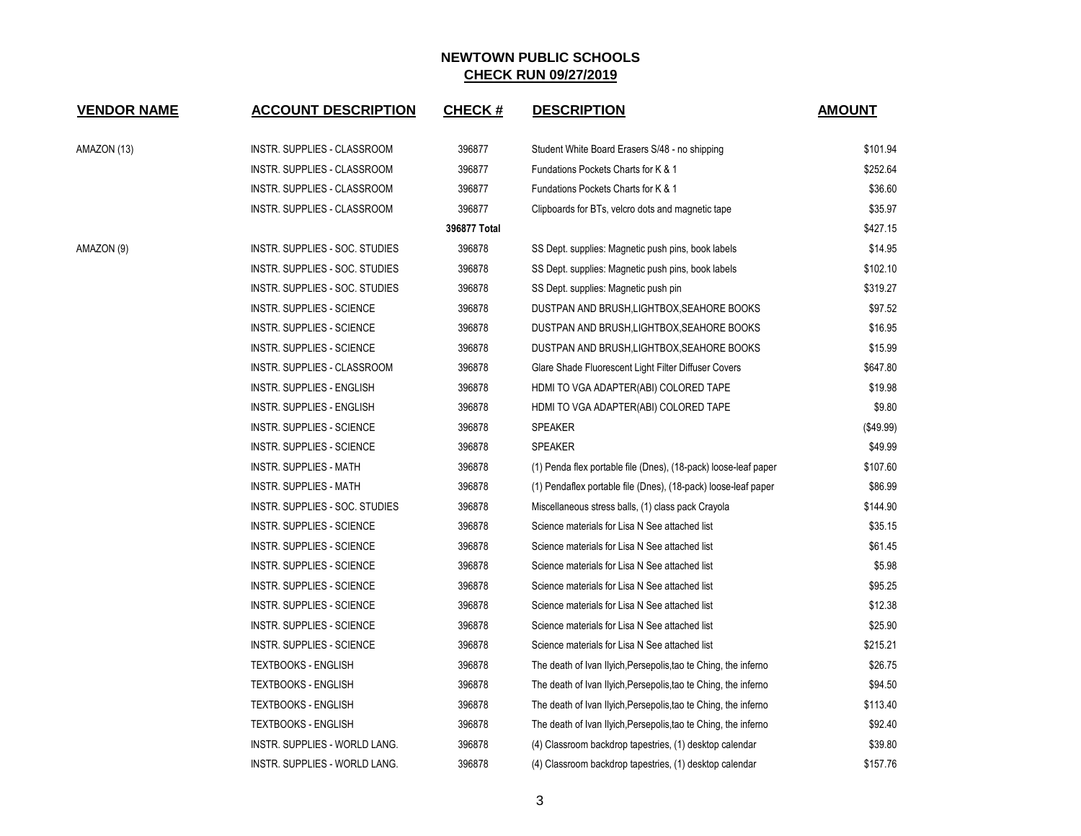| <b>VENDOR NAME</b> | <b>ACCOUNT DESCRIPTION</b>       | <b>CHECK#</b> | <b>DESCRIPTION</b>                                              | <b>AMOUNT</b> |
|--------------------|----------------------------------|---------------|-----------------------------------------------------------------|---------------|
| AMAZON (13)        | INSTR. SUPPLIES - CLASSROOM      | 396877        | Student White Board Erasers S/48 - no shipping                  | \$101.94      |
|                    | INSTR. SUPPLIES - CLASSROOM      | 396877        | Fundations Pockets Charts for K & 1                             | \$252.64      |
|                    | INSTR. SUPPLIES - CLASSROOM      | 396877        | Fundations Pockets Charts for K & 1                             | \$36.60       |
|                    | INSTR. SUPPLIES - CLASSROOM      | 396877        | Clipboards for BTs, velcro dots and magnetic tape               | \$35.97       |
|                    |                                  | 396877 Total  |                                                                 | \$427.15      |
| AMAZON (9)         | INSTR. SUPPLIES - SOC. STUDIES   | 396878        | SS Dept. supplies: Magnetic push pins, book labels              | \$14.95       |
|                    | INSTR. SUPPLIES - SOC. STUDIES   | 396878        | SS Dept. supplies: Magnetic push pins, book labels              | \$102.10      |
|                    | INSTR. SUPPLIES - SOC. STUDIES   | 396878        | SS Dept. supplies: Magnetic push pin                            | \$319.27      |
|                    | <b>INSTR. SUPPLIES - SCIENCE</b> | 396878        | DUSTPAN AND BRUSH, LIGHTBOX, SEAHORE BOOKS                      | \$97.52       |
|                    | <b>INSTR. SUPPLIES - SCIENCE</b> | 396878        | DUSTPAN AND BRUSH,LIGHTBOX,SEAHORE BOOKS                        | \$16.95       |
|                    | <b>INSTR. SUPPLIES - SCIENCE</b> | 396878        | DUSTPAN AND BRUSH, LIGHTBOX, SEAHORE BOOKS                      | \$15.99       |
|                    | INSTR. SUPPLIES - CLASSROOM      | 396878        | Glare Shade Fluorescent Light Filter Diffuser Covers            | \$647.80      |
|                    | <b>INSTR. SUPPLIES - ENGLISH</b> | 396878        | HDMI TO VGA ADAPTER(ABI) COLORED TAPE                           | \$19.98       |
|                    | <b>INSTR. SUPPLIES - ENGLISH</b> | 396878        | HDMI TO VGA ADAPTER(ABI) COLORED TAPE                           | \$9.80        |
|                    | <b>INSTR. SUPPLIES - SCIENCE</b> | 396878        | <b>SPEAKER</b>                                                  | (\$49.99)     |
|                    | <b>INSTR. SUPPLIES - SCIENCE</b> | 396878        | <b>SPEAKER</b>                                                  | \$49.99       |
|                    | <b>INSTR. SUPPLIES - MATH</b>    | 396878        | (1) Penda flex portable file (Dnes), (18-pack) loose-leaf paper | \$107.60      |
|                    | INSTR. SUPPLIES - MATH           | 396878        | (1) Pendaflex portable file (Dnes), (18-pack) loose-leaf paper  | \$86.99       |
|                    | INSTR. SUPPLIES - SOC. STUDIES   | 396878        | Miscellaneous stress balls, (1) class pack Crayola              | \$144.90      |
|                    | <b>INSTR. SUPPLIES - SCIENCE</b> | 396878        | Science materials for Lisa N See attached list                  | \$35.15       |
|                    | <b>INSTR. SUPPLIES - SCIENCE</b> | 396878        | Science materials for Lisa N See attached list                  | \$61.45       |
|                    | INSTR. SUPPLIES - SCIENCE        | 396878        | Science materials for Lisa N See attached list                  | \$5.98        |
|                    | <b>INSTR. SUPPLIES - SCIENCE</b> | 396878        | Science materials for Lisa N See attached list                  | \$95.25       |
|                    | <b>INSTR. SUPPLIES - SCIENCE</b> | 396878        | Science materials for Lisa N See attached list                  | \$12.38       |
|                    | <b>INSTR. SUPPLIES - SCIENCE</b> | 396878        | Science materials for Lisa N See attached list                  | \$25.90       |
|                    | <b>INSTR. SUPPLIES - SCIENCE</b> | 396878        | Science materials for Lisa N See attached list                  | \$215.21      |
|                    | <b>TEXTBOOKS - ENGLISH</b>       | 396878        | The death of Ivan Ilyich, Persepolis, tao te Ching, the inferno | \$26.75       |
|                    | <b>TEXTBOOKS - ENGLISH</b>       | 396878        | The death of Ivan Ilyich, Persepolis, tao te Ching, the inferno | \$94.50       |
|                    | <b>TEXTBOOKS - ENGLISH</b>       | 396878        | The death of Ivan Ilyich, Persepolis, tao te Ching, the inferno | \$113.40      |
|                    | <b>TEXTBOOKS - ENGLISH</b>       | 396878        | The death of Ivan Ilyich, Persepolis, tao te Ching, the inferno | \$92.40       |
|                    | INSTR. SUPPLIES - WORLD LANG.    | 396878        | (4) Classroom backdrop tapestries, (1) desktop calendar         | \$39.80       |
|                    | INSTR. SUPPLIES - WORLD LANG.    | 396878        | (4) Classroom backdrop tapestries, (1) desktop calendar         | \$157.76      |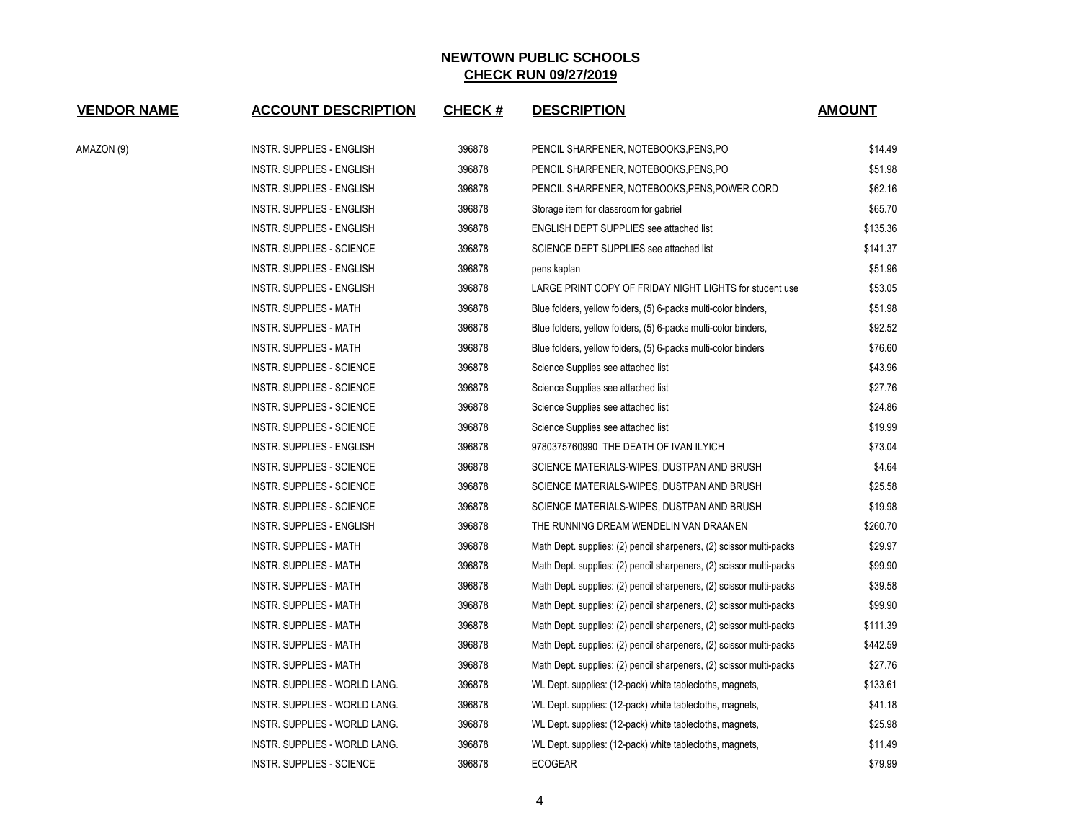| <b>VENDOR NAME</b> | <b>ACCOUNT DESCRIPTION</b>           | <b>CHECK#</b> | <b>DESCRIPTION</b>                                                  | <b>AMOUNT</b> |
|--------------------|--------------------------------------|---------------|---------------------------------------------------------------------|---------------|
| AMAZON (9)         | <b>INSTR. SUPPLIES - ENGLISH</b>     | 396878        | PENCIL SHARPENER, NOTEBOOKS, PENS, PO                               | \$14.49       |
|                    | <b>INSTR. SUPPLIES - ENGLISH</b>     | 396878        | PENCIL SHARPENER, NOTEBOOKS, PENS, PO                               | \$51.98       |
|                    | <b>INSTR. SUPPLIES - ENGLISH</b>     | 396878        | PENCIL SHARPENER, NOTEBOOKS, PENS, POWER CORD                       | \$62.16       |
|                    | INSTR. SUPPLIES - ENGLISH            | 396878        | Storage item for classroom for gabriel                              | \$65.70       |
|                    | <b>INSTR. SUPPLIES - ENGLISH</b>     | 396878        | <b>ENGLISH DEPT SUPPLIES see attached list</b>                      | \$135.36      |
|                    | <b>INSTR. SUPPLIES - SCIENCE</b>     | 396878        | SCIENCE DEPT SUPPLIES see attached list                             | \$141.37      |
|                    | <b>INSTR. SUPPLIES - ENGLISH</b>     | 396878        | pens kaplan                                                         | \$51.96       |
|                    | <b>INSTR. SUPPLIES - ENGLISH</b>     | 396878        | LARGE PRINT COPY OF FRIDAY NIGHT LIGHTS for student use             | \$53.05       |
|                    | <b>INSTR. SUPPLIES - MATH</b>        | 396878        | Blue folders, yellow folders, (5) 6-packs multi-color binders,      | \$51.98       |
|                    | <b>INSTR. SUPPLIES - MATH</b>        | 396878        | Blue folders, yellow folders, (5) 6-packs multi-color binders,      | \$92.52       |
|                    | <b>INSTR. SUPPLIES - MATH</b>        | 396878        | Blue folders, yellow folders, (5) 6-packs multi-color binders       | \$76.60       |
|                    | INSTR. SUPPLIES - SCIENCE            | 396878        | Science Supplies see attached list                                  | \$43.96       |
|                    | <b>INSTR. SUPPLIES - SCIENCE</b>     | 396878        | Science Supplies see attached list                                  | \$27.76       |
|                    | <b>INSTR. SUPPLIES - SCIENCE</b>     | 396878        | Science Supplies see attached list                                  | \$24.86       |
|                    | <b>INSTR. SUPPLIES - SCIENCE</b>     | 396878        | Science Supplies see attached list                                  | \$19.99       |
|                    | <b>INSTR. SUPPLIES - ENGLISH</b>     | 396878        | 9780375760990 THE DEATH OF IVAN ILYICH                              | \$73.04       |
|                    | <b>INSTR. SUPPLIES - SCIENCE</b>     | 396878        | SCIENCE MATERIALS-WIPES, DUSTPAN AND BRUSH                          | \$4.64        |
|                    | <b>INSTR. SUPPLIES - SCIENCE</b>     | 396878        | SCIENCE MATERIALS-WIPES, DUSTPAN AND BRUSH                          | \$25.58       |
|                    | <b>INSTR. SUPPLIES - SCIENCE</b>     | 396878        | SCIENCE MATERIALS-WIPES, DUSTPAN AND BRUSH                          | \$19.98       |
|                    | INSTR. SUPPLIES - ENGLISH            | 396878        | THE RUNNING DREAM WENDELIN VAN DRAANEN                              | \$260.70      |
|                    | <b>INSTR. SUPPLIES - MATH</b>        | 396878        | Math Dept. supplies: (2) pencil sharpeners, (2) scissor multi-packs | \$29.97       |
|                    | <b>INSTR. SUPPLIES - MATH</b>        | 396878        | Math Dept. supplies: (2) pencil sharpeners, (2) scissor multi-packs | \$99.90       |
|                    | <b>INSTR. SUPPLIES - MATH</b>        | 396878        | Math Dept. supplies: (2) pencil sharpeners, (2) scissor multi-packs | \$39.58       |
|                    | <b>INSTR. SUPPLIES - MATH</b>        | 396878        | Math Dept. supplies: (2) pencil sharpeners, (2) scissor multi-packs | \$99.90       |
|                    | <b>INSTR. SUPPLIES - MATH</b>        | 396878        | Math Dept. supplies: (2) pencil sharpeners, (2) scissor multi-packs | \$111.39      |
|                    | <b>INSTR. SUPPLIES - MATH</b>        | 396878        | Math Dept. supplies: (2) pencil sharpeners, (2) scissor multi-packs | \$442.59      |
|                    | <b>INSTR. SUPPLIES - MATH</b>        | 396878        | Math Dept. supplies: (2) pencil sharpeners, (2) scissor multi-packs | \$27.76       |
|                    | INSTR. SUPPLIES - WORLD LANG.        | 396878        | WL Dept. supplies: (12-pack) white tablecloths, magnets,            | \$133.61      |
|                    | INSTR. SUPPLIES - WORLD LANG.        | 396878        | WL Dept. supplies: (12-pack) white tablecloths, magnets,            | \$41.18       |
|                    | INSTR. SUPPLIES - WORLD LANG.        | 396878        | WL Dept. supplies: (12-pack) white tablecloths, magnets,            | \$25.98       |
|                    | <b>INSTR. SUPPLIES - WORLD LANG.</b> | 396878        | WL Dept. supplies: (12-pack) white tablecloths, magnets,            | \$11.49       |
|                    | <b>INSTR. SUPPLIES - SCIENCE</b>     | 396878        | <b>ECOGEAR</b>                                                      | \$79.99       |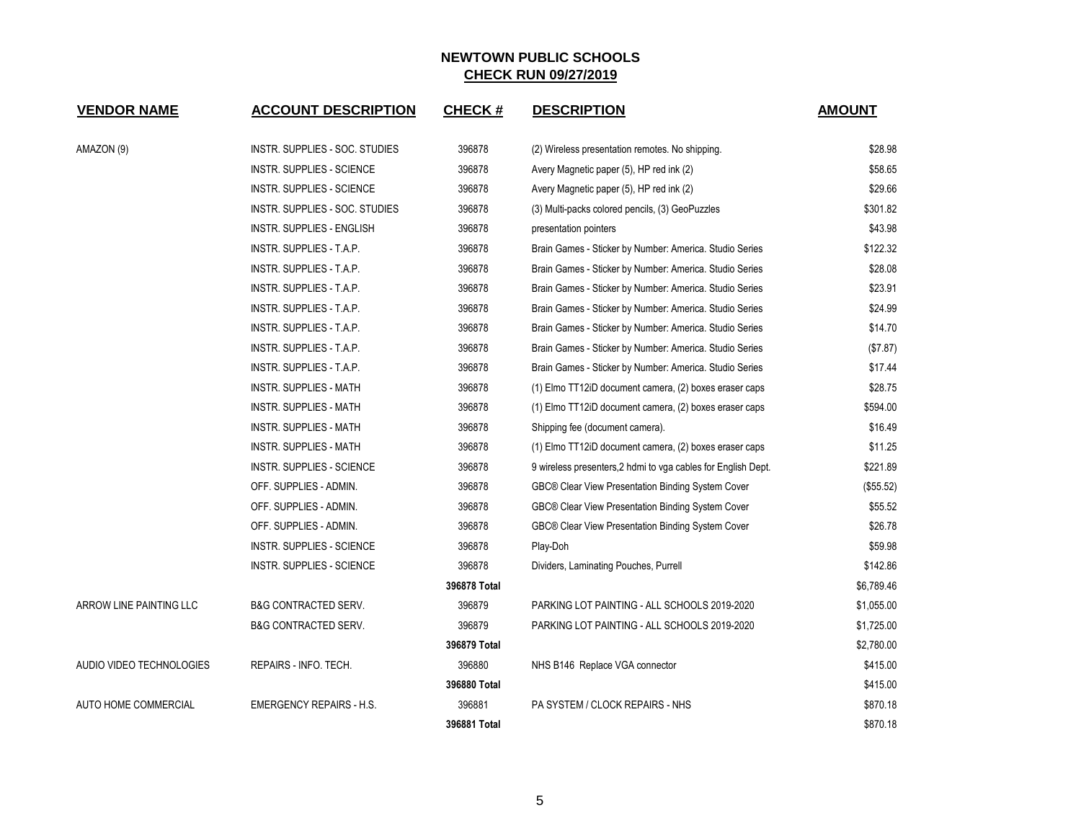| <b>VENDOR NAME</b>          | <b>ACCOUNT DESCRIPTION</b>       | <b>CHECK#</b> | <b>DESCRIPTION</b>                                            | <b>AMOUNT</b> |
|-----------------------------|----------------------------------|---------------|---------------------------------------------------------------|---------------|
| AMAZON (9)                  | INSTR. SUPPLIES - SOC. STUDIES   | 396878        | (2) Wireless presentation remotes. No shipping.               | \$28.98       |
|                             | <b>INSTR. SUPPLIES - SCIENCE</b> | 396878        | Avery Magnetic paper (5), HP red ink (2)                      | \$58.65       |
|                             | <b>INSTR. SUPPLIES - SCIENCE</b> | 396878        | Avery Magnetic paper (5), HP red ink (2)                      | \$29.66       |
|                             | INSTR. SUPPLIES - SOC. STUDIES   | 396878        | (3) Multi-packs colored pencils, (3) GeoPuzzles               | \$301.82      |
|                             | <b>INSTR. SUPPLIES - ENGLISH</b> | 396878        | presentation pointers                                         | \$43.98       |
|                             | INSTR. SUPPLIES - T.A.P.         | 396878        | Brain Games - Sticker by Number: America. Studio Series       | \$122.32      |
|                             | INSTR. SUPPLIES - T.A.P.         | 396878        | Brain Games - Sticker by Number: America. Studio Series       | \$28.08       |
|                             | INSTR. SUPPLIES - T.A.P.         | 396878        | Brain Games - Sticker by Number: America. Studio Series       | \$23.91       |
|                             | INSTR. SUPPLIES - T.A.P.         | 396878        | Brain Games - Sticker by Number: America. Studio Series       | \$24.99       |
|                             | INSTR. SUPPLIES - T.A.P.         | 396878        | Brain Games - Sticker by Number: America. Studio Series       | \$14.70       |
|                             | INSTR. SUPPLIES - T.A.P.         | 396878        | Brain Games - Sticker by Number: America. Studio Series       | (\$7.87)      |
|                             | INSTR. SUPPLIES - T.A.P.         | 396878        | Brain Games - Sticker by Number: America. Studio Series       | \$17.44       |
|                             | <b>INSTR. SUPPLIES - MATH</b>    | 396878        | (1) Elmo TT12iD document camera, (2) boxes eraser caps        | \$28.75       |
|                             | <b>INSTR. SUPPLIES - MATH</b>    | 396878        | (1) Elmo TT12iD document camera, (2) boxes eraser caps        | \$594.00      |
|                             | <b>INSTR. SUPPLIES - MATH</b>    | 396878        | Shipping fee (document camera).                               | \$16.49       |
|                             | <b>INSTR. SUPPLIES - MATH</b>    | 396878        | (1) Elmo TT12iD document camera, (2) boxes eraser caps        | \$11.25       |
|                             | <b>INSTR. SUPPLIES - SCIENCE</b> | 396878        | 9 wireless presenters, 2 hdmi to vga cables for English Dept. | \$221.89      |
|                             | OFF. SUPPLIES - ADMIN.           | 396878        | GBC® Clear View Presentation Binding System Cover             | (\$55.52)     |
|                             | OFF. SUPPLIES - ADMIN.           | 396878        | GBC® Clear View Presentation Binding System Cover             | \$55.52       |
|                             | OFF. SUPPLIES - ADMIN.           | 396878        | GBC® Clear View Presentation Binding System Cover             | \$26.78       |
|                             | <b>INSTR. SUPPLIES - SCIENCE</b> | 396878        | Play-Doh                                                      | \$59.98       |
|                             | INSTR. SUPPLIES - SCIENCE        | 396878        | Dividers, Laminating Pouches, Purrell                         | \$142.86      |
|                             |                                  | 396878 Total  |                                                               | \$6,789.46    |
| ARROW LINE PAINTING LLC     | <b>B&amp;G CONTRACTED SERV.</b>  | 396879        | PARKING LOT PAINTING - ALL SCHOOLS 2019-2020                  | \$1,055.00    |
|                             | <b>B&amp;G CONTRACTED SERV.</b>  | 396879        | PARKING LOT PAINTING - ALL SCHOOLS 2019-2020                  | \$1,725.00    |
|                             |                                  | 396879 Total  |                                                               | \$2,780.00    |
| AUDIO VIDEO TECHNOLOGIES    | REPAIRS - INFO. TECH.            | 396880        | NHS B146 Replace VGA connector                                | \$415.00      |
|                             |                                  | 396880 Total  |                                                               | \$415.00      |
| <b>AUTO HOME COMMERCIAL</b> | <b>EMERGENCY REPAIRS - H.S.</b>  | 396881        | PA SYSTEM / CLOCK REPAIRS - NHS                               | \$870.18      |
|                             |                                  | 396881 Total  |                                                               | \$870.18      |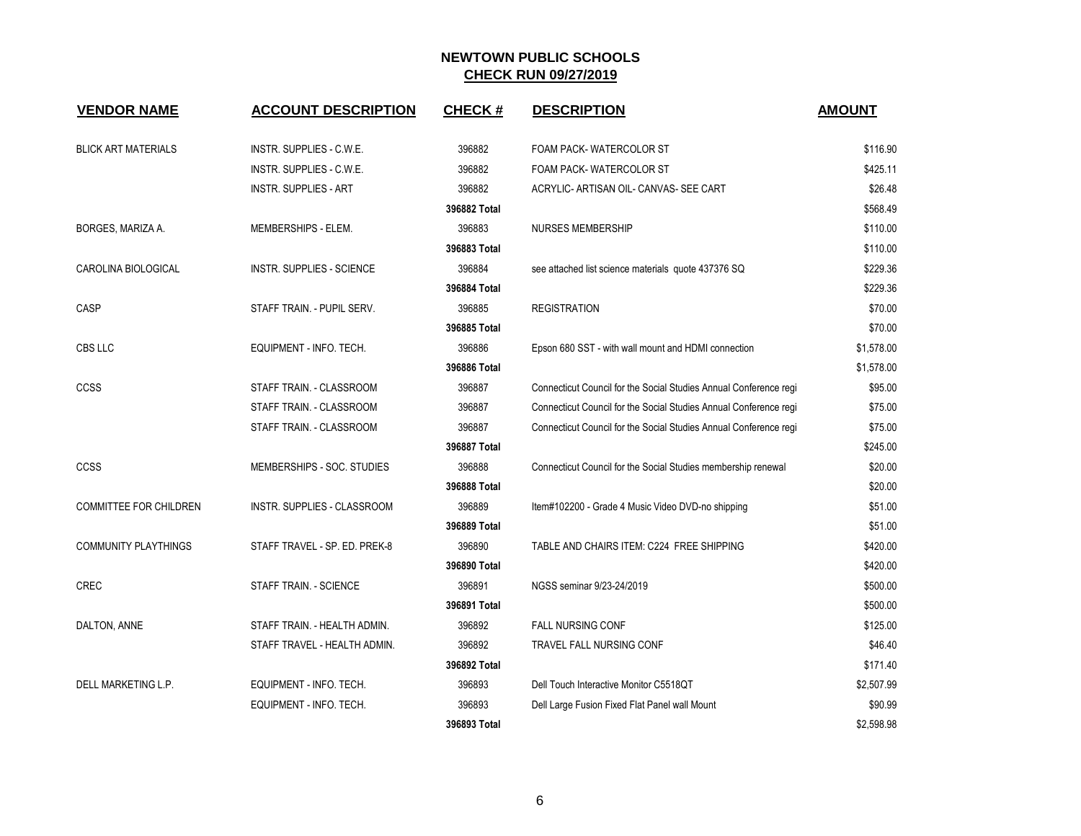| <b>VENDOR NAME</b>          | <b>ACCOUNT DESCRIPTION</b>       | <b>CHECK#</b> | <b>DESCRIPTION</b>                                                | <b>AMOUNT</b> |
|-----------------------------|----------------------------------|---------------|-------------------------------------------------------------------|---------------|
| <b>BLICK ART MATERIALS</b>  | INSTR. SUPPLIES - C.W.E.         | 396882        | FOAM PACK-WATERCOLOR ST                                           | \$116.90      |
|                             | INSTR. SUPPLIES - C.W.E.         | 396882        | FOAM PACK-WATERCOLOR ST                                           | \$425.11      |
|                             | <b>INSTR. SUPPLIES - ART</b>     | 396882        | ACRYLIC- ARTISAN OIL- CANVAS- SEE CART                            | \$26.48       |
|                             |                                  | 396882 Total  |                                                                   | \$568.49      |
| BORGES, MARIZA A.           | MEMBERSHIPS - ELEM.              | 396883        | <b>NURSES MEMBERSHIP</b>                                          | \$110.00      |
|                             |                                  | 396883 Total  |                                                                   | \$110.00      |
| CAROLINA BIOLOGICAL         | <b>INSTR. SUPPLIES - SCIENCE</b> | 396884        | see attached list science materials quote 437376 SQ               | \$229.36      |
|                             |                                  | 396884 Total  |                                                                   | \$229.36      |
| CASP                        | STAFF TRAIN. - PUPIL SERV.       | 396885        | <b>REGISTRATION</b>                                               | \$70.00       |
|                             |                                  | 396885 Total  |                                                                   | \$70.00       |
| CBS LLC                     | EQUIPMENT - INFO. TECH.          | 396886        | Epson 680 SST - with wall mount and HDMI connection               | \$1,578.00    |
|                             |                                  | 396886 Total  |                                                                   | \$1,578.00    |
| <b>CCSS</b>                 | STAFF TRAIN. - CLASSROOM         | 396887        | Connecticut Council for the Social Studies Annual Conference regi | \$95.00       |
|                             | STAFF TRAIN. - CLASSROOM         | 396887        | Connecticut Council for the Social Studies Annual Conference regi | \$75.00       |
|                             | STAFF TRAIN. - CLASSROOM         | 396887        | Connecticut Council for the Social Studies Annual Conference regi | \$75.00       |
|                             |                                  | 396887 Total  |                                                                   | \$245.00      |
| CCSS                        | MEMBERSHIPS - SOC. STUDIES       | 396888        | Connecticut Council for the Social Studies membership renewal     | \$20.00       |
|                             |                                  | 396888 Total  |                                                                   | \$20.00       |
| COMMITTEE FOR CHILDREN      | INSTR. SUPPLIES - CLASSROOM      | 396889        | Item#102200 - Grade 4 Music Video DVD-no shipping                 | \$51.00       |
|                             |                                  | 396889 Total  |                                                                   | \$51.00       |
| <b>COMMUNITY PLAYTHINGS</b> | STAFF TRAVEL - SP. ED. PREK-8    | 396890        | TABLE AND CHAIRS ITEM: C224 FREE SHIPPING                         | \$420.00      |
|                             |                                  | 396890 Total  |                                                                   | \$420.00      |
| <b>CREC</b>                 | STAFF TRAIN. - SCIENCE           | 396891        | NGSS seminar 9/23-24/2019                                         | \$500.00      |
|                             |                                  | 396891 Total  |                                                                   | \$500.00      |
| DALTON, ANNE                | STAFF TRAIN. - HEALTH ADMIN.     | 396892        | <b>FALL NURSING CONF</b>                                          | \$125.00      |
|                             | STAFF TRAVEL - HEALTH ADMIN.     | 396892        | TRAVEL FALL NURSING CONF                                          | \$46.40       |
|                             |                                  | 396892 Total  |                                                                   | \$171.40      |
| DELL MARKETING L.P.         | EQUIPMENT - INFO. TECH.          | 396893        | Dell Touch Interactive Monitor C5518OT                            | \$2,507.99    |
|                             | EQUIPMENT - INFO. TECH.          | 396893        | Dell Large Fusion Fixed Flat Panel wall Mount                     | \$90.99       |
|                             |                                  | 396893 Total  |                                                                   | \$2,598.98    |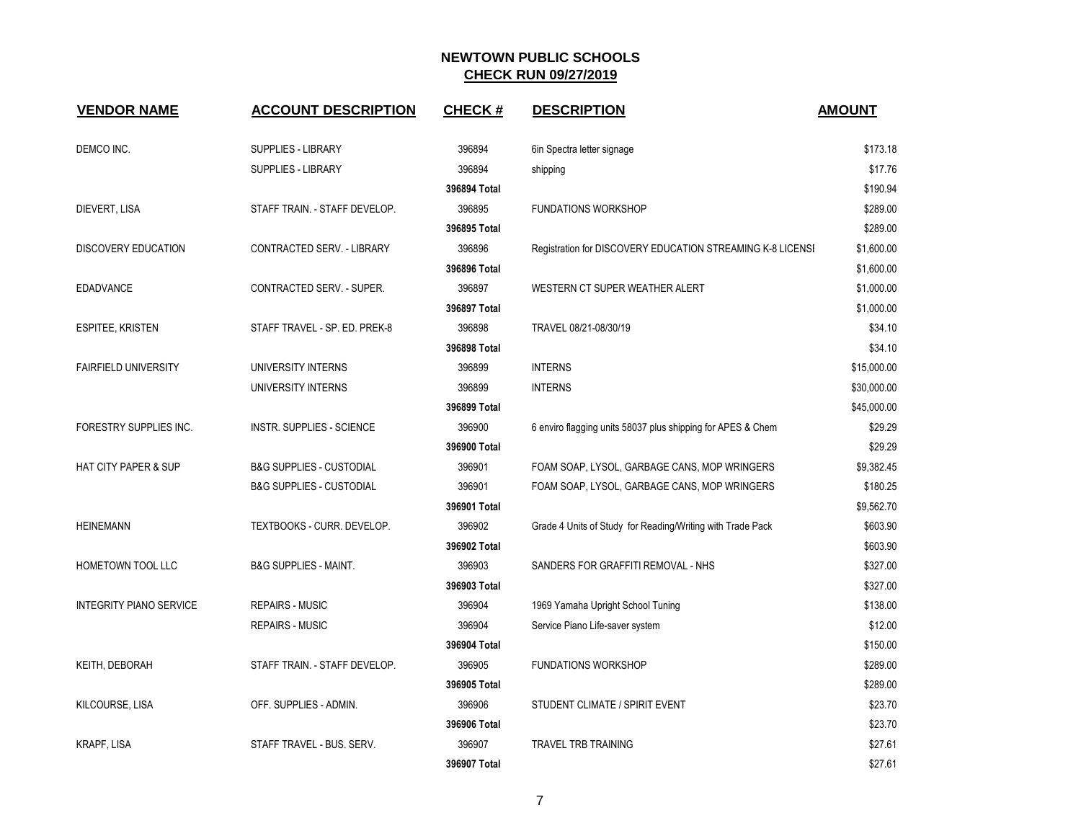| <b>VENDOR NAME</b>              | <b>ACCOUNT DESCRIPTION</b>          | <b>CHECK#</b> | <b>DESCRIPTION</b>                                          | <b>AMOUNT</b> |
|---------------------------------|-------------------------------------|---------------|-------------------------------------------------------------|---------------|
| DEMCO INC.                      | <b>SUPPLIES - LIBRARY</b>           | 396894        | 6in Spectra letter signage                                  | \$173.18      |
|                                 | <b>SUPPLIES - LIBRARY</b>           | 396894        | shipping                                                    | \$17.76       |
|                                 |                                     | 396894 Total  |                                                             | \$190.94      |
| DIEVERT, LISA                   | STAFF TRAIN. - STAFF DEVELOP.       | 396895        | <b>FUNDATIONS WORKSHOP</b>                                  | \$289.00      |
|                                 |                                     | 396895 Total  |                                                             | \$289.00      |
| <b>DISCOVERY EDUCATION</b>      | CONTRACTED SERV. - LIBRARY          | 396896        | Registration for DISCOVERY EDUCATION STREAMING K-8 LICENSI  | \$1,600.00    |
|                                 |                                     | 396896 Total  |                                                             | \$1,600.00    |
| <b>EDADVANCE</b>                | CONTRACTED SERV. - SUPER.           | 396897        | WESTERN CT SUPER WEATHER ALERT                              | \$1,000.00    |
|                                 |                                     | 396897 Total  |                                                             | \$1,000.00    |
| <b>ESPITEE, KRISTEN</b>         | STAFF TRAVEL - SP. ED. PREK-8       | 396898        | TRAVEL 08/21-08/30/19                                       | \$34.10       |
|                                 |                                     | 396898 Total  |                                                             | \$34.10       |
| <b>FAIRFIELD UNIVERSITY</b>     | UNIVERSITY INTERNS                  | 396899        | <b>INTERNS</b>                                              | \$15,000.00   |
|                                 | UNIVERSITY INTERNS                  | 396899        | <b>INTERNS</b>                                              | \$30,000.00   |
|                                 |                                     | 396899 Total  |                                                             | \$45,000.00   |
| FORESTRY SUPPLIES INC.          | <b>INSTR. SUPPLIES - SCIENCE</b>    | 396900        | 6 enviro flagging units 58037 plus shipping for APES & Chem | \$29.29       |
|                                 |                                     | 396900 Total  |                                                             | \$29.29       |
| <b>HAT CITY PAPER &amp; SUP</b> | <b>B&amp;G SUPPLIES - CUSTODIAL</b> | 396901        | FOAM SOAP, LYSOL, GARBAGE CANS, MOP WRINGERS                | \$9,382.45    |
|                                 | <b>B&amp;G SUPPLIES - CUSTODIAL</b> | 396901        | FOAM SOAP, LYSOL, GARBAGE CANS, MOP WRINGERS                | \$180.25      |
|                                 |                                     | 396901 Total  |                                                             | \$9,562.70    |
| <b>HEINEMANN</b>                | TEXTBOOKS - CURR. DEVELOP.          | 396902        | Grade 4 Units of Study for Reading/Writing with Trade Pack  | \$603.90      |
|                                 |                                     | 396902 Total  |                                                             | \$603.90      |
| HOMETOWN TOOL LLC               | <b>B&amp;G SUPPLIES - MAINT.</b>    | 396903        | SANDERS FOR GRAFFITI REMOVAL - NHS                          | \$327.00      |
|                                 |                                     | 396903 Total  |                                                             | \$327.00      |
| <b>INTEGRITY PIANO SERVICE</b>  | <b>REPAIRS - MUSIC</b>              | 396904        | 1969 Yamaha Upright School Tuning                           | \$138.00      |
|                                 | <b>REPAIRS - MUSIC</b>              | 396904        | Service Piano Life-saver system                             | \$12.00       |
|                                 |                                     | 396904 Total  |                                                             | \$150.00      |
| KEITH, DEBORAH                  | STAFF TRAIN. - STAFF DEVELOP.       | 396905        | <b>FUNDATIONS WORKSHOP</b>                                  | \$289.00      |
|                                 |                                     | 396905 Total  |                                                             | \$289.00      |
| KILCOURSE, LISA                 | OFF. SUPPLIES - ADMIN.              | 396906        | STUDENT CLIMATE / SPIRIT EVENT                              | \$23.70       |
|                                 |                                     | 396906 Total  |                                                             | \$23.70       |
| KRAPF, LISA                     | STAFF TRAVEL - BUS. SERV.           | 396907        | TRAVEL TRB TRAINING                                         | \$27.61       |
|                                 |                                     | 396907 Total  |                                                             | \$27.61       |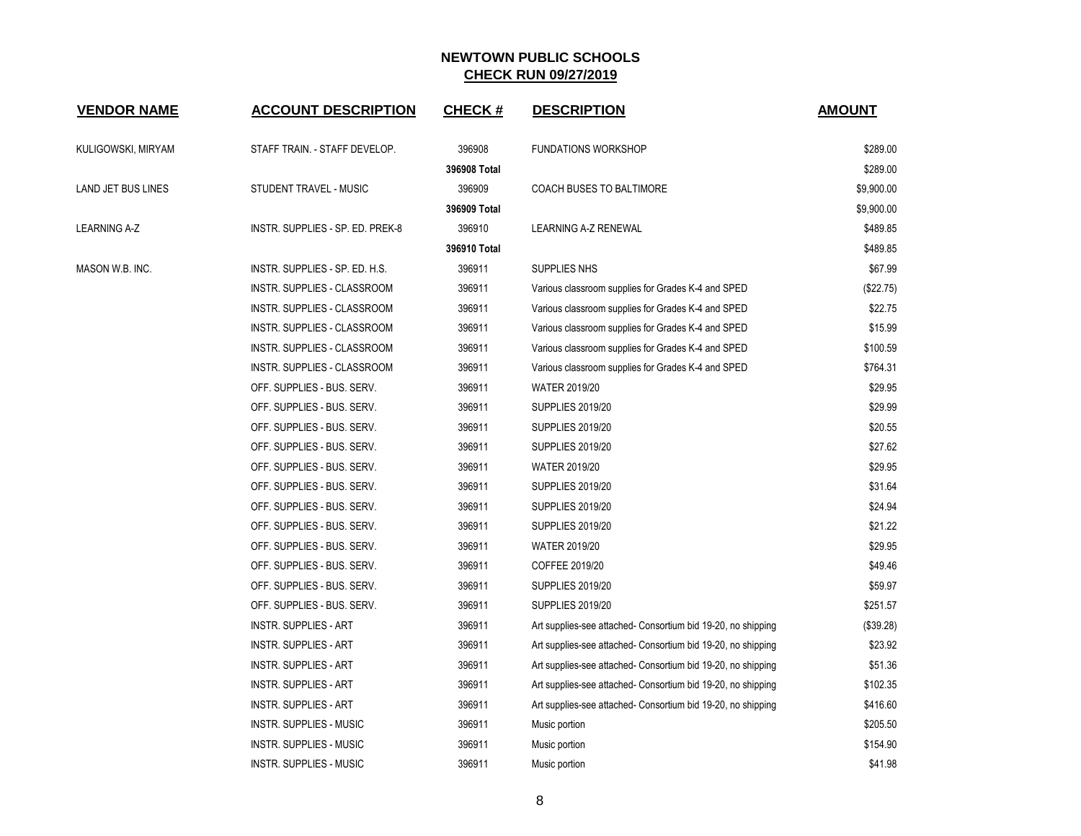| <b>VENDOR NAME</b> | <b>ACCOUNT DESCRIPTION</b>       | <b>CHECK#</b> | <b>DESCRIPTION</b>                                           | <b>AMOUNT</b> |
|--------------------|----------------------------------|---------------|--------------------------------------------------------------|---------------|
| KULIGOWSKI, MIRYAM | STAFF TRAIN. - STAFF DEVELOP.    | 396908        | <b>FUNDATIONS WORKSHOP</b>                                   | \$289.00      |
|                    |                                  | 396908 Total  |                                                              | \$289.00      |
| LAND JET BUS LINES | STUDENT TRAVEL - MUSIC           | 396909        | COACH BUSES TO BALTIMORE                                     | \$9,900.00    |
|                    |                                  | 396909 Total  |                                                              | \$9,900.00    |
| LEARNING A-Z       | INSTR. SUPPLIES - SP. ED. PREK-8 | 396910        | <b>LEARNING A-Z RENEWAL</b>                                  | \$489.85      |
|                    |                                  | 396910 Total  |                                                              | \$489.85      |
| MASON W.B. INC.    | INSTR. SUPPLIES - SP. ED. H.S.   | 396911        | SUPPLIES NHS                                                 | \$67.99       |
|                    | INSTR. SUPPLIES - CLASSROOM      | 396911        | Various classroom supplies for Grades K-4 and SPED           | (\$22.75)     |
|                    | INSTR. SUPPLIES - CLASSROOM      | 396911        | Various classroom supplies for Grades K-4 and SPED           | \$22.75       |
|                    | INSTR. SUPPLIES - CLASSROOM      | 396911        | Various classroom supplies for Grades K-4 and SPED           | \$15.99       |
|                    | INSTR. SUPPLIES - CLASSROOM      | 396911        | Various classroom supplies for Grades K-4 and SPED           | \$100.59      |
|                    | INSTR. SUPPLIES - CLASSROOM      | 396911        | Various classroom supplies for Grades K-4 and SPED           | \$764.31      |
|                    | OFF. SUPPLIES - BUS. SERV.       | 396911        | <b>WATER 2019/20</b>                                         | \$29.95       |
|                    | OFF. SUPPLIES - BUS. SERV.       | 396911        | <b>SUPPLIES 2019/20</b>                                      | \$29.99       |
|                    | OFF. SUPPLIES - BUS. SERV.       | 396911        | <b>SUPPLIES 2019/20</b>                                      | \$20.55       |
|                    | OFF. SUPPLIES - BUS. SERV.       | 396911        | <b>SUPPLIES 2019/20</b>                                      | \$27.62       |
|                    | OFF. SUPPLIES - BUS. SERV.       | 396911        | <b>WATER 2019/20</b>                                         | \$29.95       |
|                    | OFF. SUPPLIES - BUS. SERV.       | 396911        | <b>SUPPLIES 2019/20</b>                                      | \$31.64       |
|                    | OFF. SUPPLIES - BUS. SERV.       | 396911        | <b>SUPPLIES 2019/20</b>                                      | \$24.94       |
|                    | OFF. SUPPLIES - BUS. SERV.       | 396911        | <b>SUPPLIES 2019/20</b>                                      | \$21.22       |
|                    | OFF. SUPPLIES - BUS. SERV.       | 396911        | WATER 2019/20                                                | \$29.95       |
|                    | OFF. SUPPLIES - BUS. SERV.       | 396911        | COFFEE 2019/20                                               | \$49.46       |
|                    | OFF. SUPPLIES - BUS. SERV.       | 396911        | <b>SUPPLIES 2019/20</b>                                      | \$59.97       |
|                    | OFF. SUPPLIES - BUS. SERV.       | 396911        | <b>SUPPLIES 2019/20</b>                                      | \$251.57      |
|                    | <b>INSTR. SUPPLIES - ART</b>     | 396911        | Art supplies-see attached- Consortium bid 19-20, no shipping | (\$39.28)     |
|                    | <b>INSTR. SUPPLIES - ART</b>     | 396911        | Art supplies-see attached- Consortium bid 19-20, no shipping | \$23.92       |
|                    | <b>INSTR. SUPPLIES - ART</b>     | 396911        | Art supplies-see attached- Consortium bid 19-20, no shipping | \$51.36       |
|                    | <b>INSTR. SUPPLIES - ART</b>     | 396911        | Art supplies-see attached- Consortium bid 19-20, no shipping | \$102.35      |
|                    | <b>INSTR. SUPPLIES - ART</b>     | 396911        | Art supplies-see attached- Consortium bid 19-20, no shipping | \$416.60      |
|                    | <b>INSTR. SUPPLIES - MUSIC</b>   | 396911        | Music portion                                                | \$205.50      |
|                    | <b>INSTR. SUPPLIES - MUSIC</b>   | 396911        | Music portion                                                | \$154.90      |
|                    | <b>INSTR. SUPPLIES - MUSIC</b>   | 396911        | Music portion                                                | \$41.98       |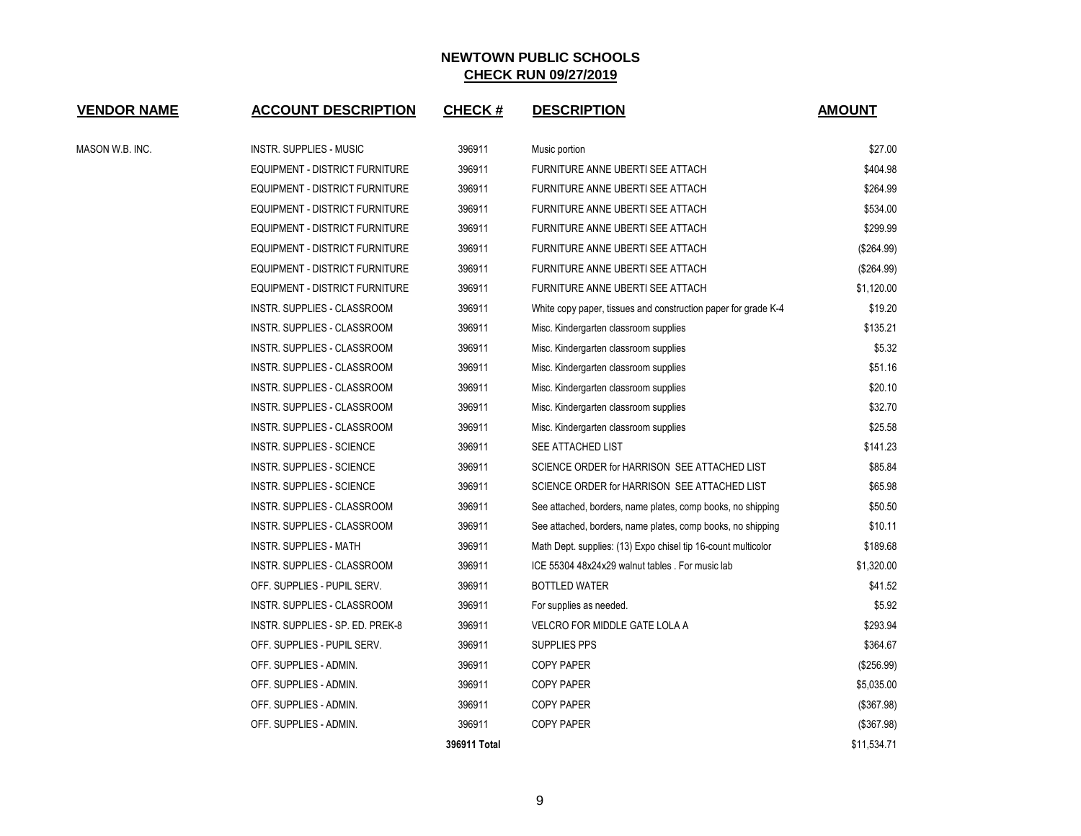| VE <u>NDOR NAME</u> | <b>ACCOUNT DESCRIPTION</b>            | <b>CHECK#</b> | <b>DESCRIPTION</b>                                             | <b>AMOUNT</b> |
|---------------------|---------------------------------------|---------------|----------------------------------------------------------------|---------------|
| MASON W.B. INC.     | INSTR. SUPPLIES - MUSIC               | 396911        | Music portion                                                  | \$27.00       |
|                     | EQUIPMENT - DISTRICT FURNITURE        | 396911        | <b>FURNITURE ANNE UBERTI SEE ATTACH</b>                        | \$404.98      |
|                     | EQUIPMENT - DISTRICT FURNITURE        | 396911        | FURNITURE ANNE UBERTI SEE ATTACH                               | \$264.99      |
|                     | <b>EQUIPMENT - DISTRICT FURNITURE</b> | 396911        | FURNITURE ANNE UBERTI SEE ATTACH                               | \$534.00      |
|                     | <b>EQUIPMENT - DISTRICT FURNITURE</b> | 396911        | FURNITURE ANNE UBERTI SEE ATTACH                               | \$299.99      |
|                     | <b>EQUIPMENT - DISTRICT FURNITURE</b> | 396911        | FURNITURE ANNE UBERTI SEE ATTACH                               | (\$264.99)    |
|                     | EQUIPMENT - DISTRICT FURNITURE        | 396911        | FURNITURE ANNE UBERTI SEE ATTACH                               | (\$264.99)    |
|                     | EQUIPMENT - DISTRICT FURNITURE        | 396911        | FURNITURE ANNE UBERTI SEE ATTACH                               | \$1,120.00    |
|                     | INSTR. SUPPLIES - CLASSROOM           | 396911        | White copy paper, tissues and construction paper for grade K-4 | \$19.20       |
|                     | INSTR. SUPPLIES - CLASSROOM           | 396911        | Misc. Kindergarten classroom supplies                          | \$135.21      |
|                     | INSTR. SUPPLIES - CLASSROOM           | 396911        | Misc. Kindergarten classroom supplies                          | \$5.32        |
|                     | INSTR. SUPPLIES - CLASSROOM           | 396911        | Misc. Kindergarten classroom supplies                          | \$51.16       |
|                     | INSTR. SUPPLIES - CLASSROOM           | 396911        | Misc. Kindergarten classroom supplies                          | \$20.10       |
|                     | INSTR. SUPPLIES - CLASSROOM           | 396911        | Misc. Kindergarten classroom supplies                          | \$32.70       |
|                     | INSTR. SUPPLIES - CLASSROOM           | 396911        | Misc. Kindergarten classroom supplies                          | \$25.58       |
|                     | <b>INSTR. SUPPLIES - SCIENCE</b>      | 396911        | SEE ATTACHED LIST                                              | \$141.23      |
|                     | <b>INSTR. SUPPLIES - SCIENCE</b>      | 396911        | SCIENCE ORDER for HARRISON SEE ATTACHED LIST                   | \$85.84       |
|                     | <b>INSTR. SUPPLIES - SCIENCE</b>      | 396911        | SCIENCE ORDER for HARRISON SEE ATTACHED LIST                   | \$65.98       |
|                     | INSTR. SUPPLIES - CLASSROOM           | 396911        | See attached, borders, name plates, comp books, no shipping    | \$50.50       |
|                     | INSTR. SUPPLIES - CLASSROOM           | 396911        | See attached, borders, name plates, comp books, no shipping    | \$10.11       |
|                     | <b>INSTR. SUPPLIES - MATH</b>         | 396911        | Math Dept. supplies: (13) Expo chisel tip 16-count multicolor  | \$189.68      |
|                     | INSTR. SUPPLIES - CLASSROOM           | 396911        | ICE 55304 48x24x29 walnut tables . For music lab               | \$1,320.00    |
|                     | OFF. SUPPLIES - PUPIL SERV.           | 396911        | <b>BOTTLED WATER</b>                                           | \$41.52       |
|                     | INSTR. SUPPLIES - CLASSROOM           | 396911        | For supplies as needed.                                        | \$5.92        |
|                     | INSTR. SUPPLIES - SP. ED. PREK-8      | 396911        | VELCRO FOR MIDDLE GATE LOLA A                                  | \$293.94      |
|                     | OFF. SUPPLIES - PUPIL SERV.           | 396911        | <b>SUPPLIES PPS</b>                                            | \$364.67      |
|                     | OFF. SUPPLIES - ADMIN.                | 396911        | <b>COPY PAPER</b>                                              | (\$256.99)    |
|                     | OFF. SUPPLIES - ADMIN.                | 396911        | <b>COPY PAPER</b>                                              | \$5,035.00    |
|                     | OFF. SUPPLIES - ADMIN.                | 396911        | <b>COPY PAPER</b>                                              | (\$367.98)    |
|                     | OFF. SUPPLIES - ADMIN.                | 396911        | <b>COPY PAPER</b>                                              | (\$367.98)    |
|                     |                                       | 396911 Total  |                                                                | \$11,534.71   |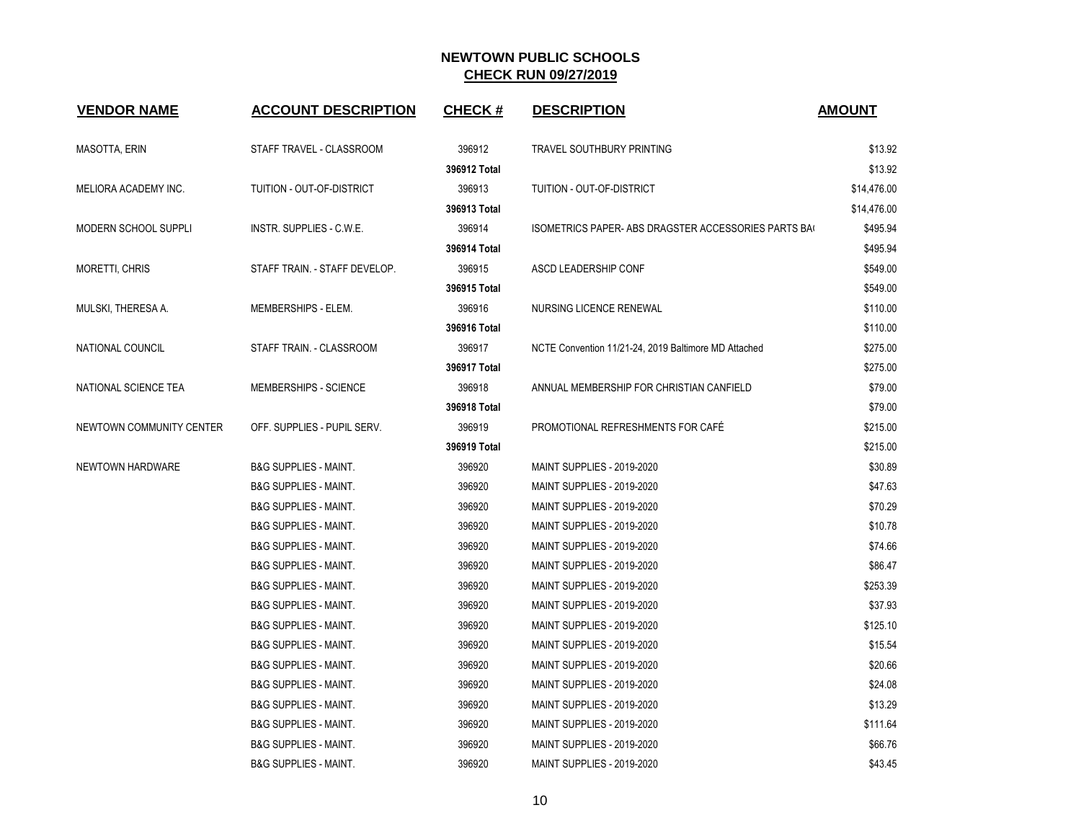| <b>VENDOR NAME</b>       | <b>ACCOUNT DESCRIPTION</b>       | <b>CHECK#</b> | <b>DESCRIPTION</b>                                          | <b>AMOUNT</b> |
|--------------------------|----------------------------------|---------------|-------------------------------------------------------------|---------------|
| MASOTTA, ERIN            | STAFF TRAVEL - CLASSROOM         | 396912        | <b>TRAVEL SOUTHBURY PRINTING</b>                            | \$13.92       |
|                          |                                  | 396912 Total  |                                                             | \$13.92       |
| MELIORA ACADEMY INC.     | TUITION - OUT-OF-DISTRICT        | 396913        | TUITION - OUT-OF-DISTRICT                                   | \$14,476.00   |
|                          |                                  | 396913 Total  |                                                             | \$14,476.00   |
| MODERN SCHOOL SUPPLI     | INSTR. SUPPLIES - C.W.E.         | 396914        | <b>ISOMETRICS PAPER- ABS DRAGSTER ACCESSORIES PARTS BAC</b> | \$495.94      |
|                          |                                  | 396914 Total  |                                                             | \$495.94      |
| MORETTI, CHRIS           | STAFF TRAIN. - STAFF DEVELOP.    | 396915        | ASCD LEADERSHIP CONF                                        | \$549.00      |
|                          |                                  | 396915 Total  |                                                             | \$549.00      |
| MULSKI, THERESA A.       | MEMBERSHIPS - ELEM.              | 396916        | NURSING LICENCE RENEWAL                                     | \$110.00      |
|                          |                                  | 396916 Total  |                                                             | \$110.00      |
| NATIONAL COUNCIL         | STAFF TRAIN. - CLASSROOM         | 396917        | NCTE Convention 11/21-24, 2019 Baltimore MD Attached        | \$275.00      |
|                          |                                  | 396917 Total  |                                                             | \$275.00      |
| NATIONAL SCIENCE TEA     | <b>MEMBERSHIPS - SCIENCE</b>     | 396918        | ANNUAL MEMBERSHIP FOR CHRISTIAN CANFIELD                    | \$79.00       |
|                          |                                  | 396918 Total  |                                                             | \$79.00       |
| NEWTOWN COMMUNITY CENTER | OFF. SUPPLIES - PUPIL SERV.      | 396919        | PROMOTIONAL REFRESHMENTS FOR CAFÉ                           | \$215.00      |
|                          |                                  | 396919 Total  |                                                             | \$215.00      |
| NEWTOWN HARDWARE         | <b>B&amp;G SUPPLIES - MAINT.</b> | 396920        | <b>MAINT SUPPLIES - 2019-2020</b>                           | \$30.89       |
|                          | <b>B&amp;G SUPPLIES - MAINT.</b> | 396920        | <b>MAINT SUPPLIES - 2019-2020</b>                           | \$47.63       |
|                          | <b>B&amp;G SUPPLIES - MAINT.</b> | 396920        | <b>MAINT SUPPLIES - 2019-2020</b>                           | \$70.29       |
|                          | <b>B&amp;G SUPPLIES - MAINT.</b> | 396920        | MAINT SUPPLIES - 2019-2020                                  | \$10.78       |
|                          | <b>B&amp;G SUPPLIES - MAINT.</b> | 396920        | <b>MAINT SUPPLIES - 2019-2020</b>                           | \$74.66       |
|                          | <b>B&amp;G SUPPLIES - MAINT.</b> | 396920        | MAINT SUPPLIES - 2019-2020                                  | \$86.47       |
|                          | <b>B&amp;G SUPPLIES - MAINT.</b> | 396920        | <b>MAINT SUPPLIES - 2019-2020</b>                           | \$253.39      |
|                          | <b>B&amp;G SUPPLIES - MAINT.</b> | 396920        | <b>MAINT SUPPLIES - 2019-2020</b>                           | \$37.93       |
|                          | <b>B&amp;G SUPPLIES - MAINT.</b> | 396920        | MAINT SUPPLIES - 2019-2020                                  | \$125.10      |
|                          | <b>B&amp;G SUPPLIES - MAINT.</b> | 396920        | <b>MAINT SUPPLIES - 2019-2020</b>                           | \$15.54       |
|                          | <b>B&amp;G SUPPLIES - MAINT.</b> | 396920        | MAINT SUPPLIES - 2019-2020                                  | \$20.66       |
|                          | <b>B&amp;G SUPPLIES - MAINT.</b> | 396920        | <b>MAINT SUPPLIES - 2019-2020</b>                           | \$24.08       |
|                          | <b>B&amp;G SUPPLIES - MAINT.</b> | 396920        | <b>MAINT SUPPLIES - 2019-2020</b>                           | \$13.29       |
|                          | <b>B&amp;G SUPPLIES - MAINT.</b> | 396920        | <b>MAINT SUPPLIES - 2019-2020</b>                           | \$111.64      |
|                          | <b>B&amp;G SUPPLIES - MAINT.</b> | 396920        | <b>MAINT SUPPLIES - 2019-2020</b>                           | \$66.76       |
|                          | <b>B&amp;G SUPPLIES - MAINT.</b> | 396920        | MAINT SUPPLIES - 2019-2020                                  | \$43.45       |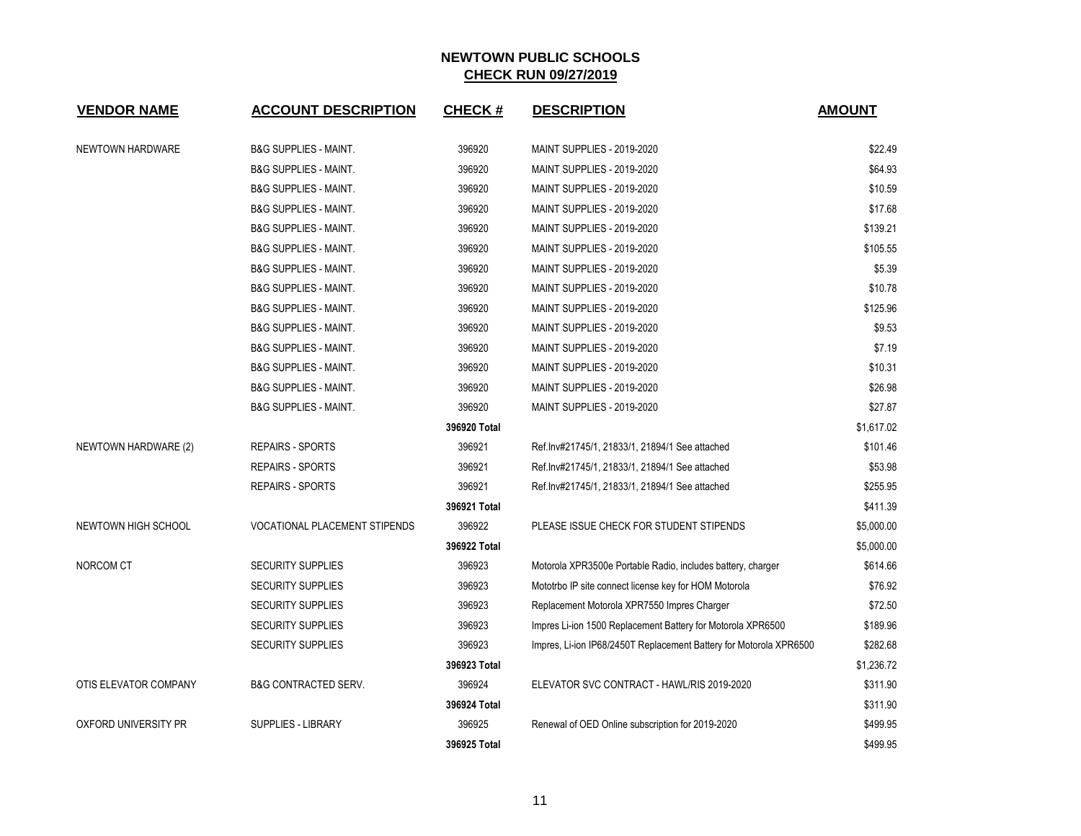| <b>VENDOR NAME</b>    | <b>ACCOUNT DESCRIPTION</b>           | <b>CHECK#</b> | <b>DESCRIPTION</b>                                                 | <b>AMOUNT</b> |
|-----------------------|--------------------------------------|---------------|--------------------------------------------------------------------|---------------|
| NEWTOWN HARDWARE      | <b>B&amp;G SUPPLIES - MAINT.</b>     | 396920        | <b>MAINT SUPPLIES - 2019-2020</b>                                  | \$22.49       |
|                       | <b>B&amp;G SUPPLIES - MAINT.</b>     | 396920        | <b>MAINT SUPPLIES - 2019-2020</b>                                  | \$64.93       |
|                       | <b>B&amp;G SUPPLIES - MAINT.</b>     | 396920        | <b>MAINT SUPPLIES - 2019-2020</b>                                  | \$10.59       |
|                       | <b>B&amp;G SUPPLIES - MAINT.</b>     | 396920        | <b>MAINT SUPPLIES - 2019-2020</b>                                  | \$17.68       |
|                       | <b>B&amp;G SUPPLIES - MAINT.</b>     | 396920        | <b>MAINT SUPPLIES - 2019-2020</b>                                  | \$139.21      |
|                       | <b>B&amp;G SUPPLIES - MAINT.</b>     | 396920        | <b>MAINT SUPPLIES - 2019-2020</b>                                  | \$105.55      |
|                       | <b>B&amp;G SUPPLIES - MAINT.</b>     | 396920        | <b>MAINT SUPPLIES - 2019-2020</b>                                  | \$5.39        |
|                       | <b>B&amp;G SUPPLIES - MAINT.</b>     | 396920        | <b>MAINT SUPPLIES - 2019-2020</b>                                  | \$10.78       |
|                       | <b>B&amp;G SUPPLIES - MAINT.</b>     | 396920        | <b>MAINT SUPPLIES - 2019-2020</b>                                  | \$125.96      |
|                       | <b>B&amp;G SUPPLIES - MAINT.</b>     | 396920        | <b>MAINT SUPPLIES - 2019-2020</b>                                  | \$9.53        |
|                       | <b>B&amp;G SUPPLIES - MAINT.</b>     | 396920        | <b>MAINT SUPPLIES - 2019-2020</b>                                  | \$7.19        |
|                       | <b>B&amp;G SUPPLIES - MAINT.</b>     | 396920        | <b>MAINT SUPPLIES - 2019-2020</b>                                  | \$10.31       |
|                       | <b>B&amp;G SUPPLIES - MAINT.</b>     | 396920        | <b>MAINT SUPPLIES - 2019-2020</b>                                  | \$26.98       |
|                       | <b>B&amp;G SUPPLIES - MAINT.</b>     | 396920        | <b>MAINT SUPPLIES - 2019-2020</b>                                  | \$27.87       |
|                       |                                      | 396920 Total  |                                                                    | \$1,617.02    |
| NEWTOWN HARDWARE (2)  | <b>REPAIRS - SPORTS</b>              | 396921        | Ref.lnv#21745/1, 21833/1, 21894/1 See attached                     | \$101.46      |
|                       | <b>REPAIRS - SPORTS</b>              | 396921        | Ref.lnv#21745/1, 21833/1, 21894/1 See attached                     | \$53.98       |
|                       | <b>REPAIRS - SPORTS</b>              | 396921        | Ref.lnv#21745/1, 21833/1, 21894/1 See attached                     | \$255.95      |
|                       |                                      | 396921 Total  |                                                                    | \$411.39      |
| NEWTOWN HIGH SCHOOL   | <b>VOCATIONAL PLACEMENT STIPENDS</b> | 396922        | PLEASE ISSUE CHECK FOR STUDENT STIPENDS                            | \$5,000.00    |
|                       |                                      | 396922 Total  |                                                                    | \$5,000.00    |
| NORCOM CT             | <b>SECURITY SUPPLIES</b>             | 396923        | Motorola XPR3500e Portable Radio, includes battery, charger        | \$614.66      |
|                       | <b>SECURITY SUPPLIES</b>             | 396923        | Mototrbo IP site connect license key for HOM Motorola              | \$76.92       |
|                       | <b>SECURITY SUPPLIES</b>             | 396923        | Replacement Motorola XPR7550 Impres Charger                        | \$72.50       |
|                       | <b>SECURITY SUPPLIES</b>             | 396923        | Impres Li-ion 1500 Replacement Battery for Motorola XPR6500        | \$189.96      |
|                       | <b>SECURITY SUPPLIES</b>             | 396923        | Impres, Li-ion IP68/2450T Replacement Battery for Motorola XPR6500 | \$282.68      |
|                       |                                      | 396923 Total  |                                                                    | \$1,236.72    |
| OTIS ELEVATOR COMPANY | <b>B&amp;G CONTRACTED SERV.</b>      | 396924        | ELEVATOR SVC CONTRACT - HAWL/RIS 2019-2020                         | \$311.90      |
|                       |                                      | 396924 Total  |                                                                    | \$311.90      |
| OXFORD UNIVERSITY PR  | SUPPLIES - LIBRARY                   | 396925        | Renewal of OED Online subscription for 2019-2020                   | \$499.95      |
|                       |                                      | 396925 Total  |                                                                    | \$499.95      |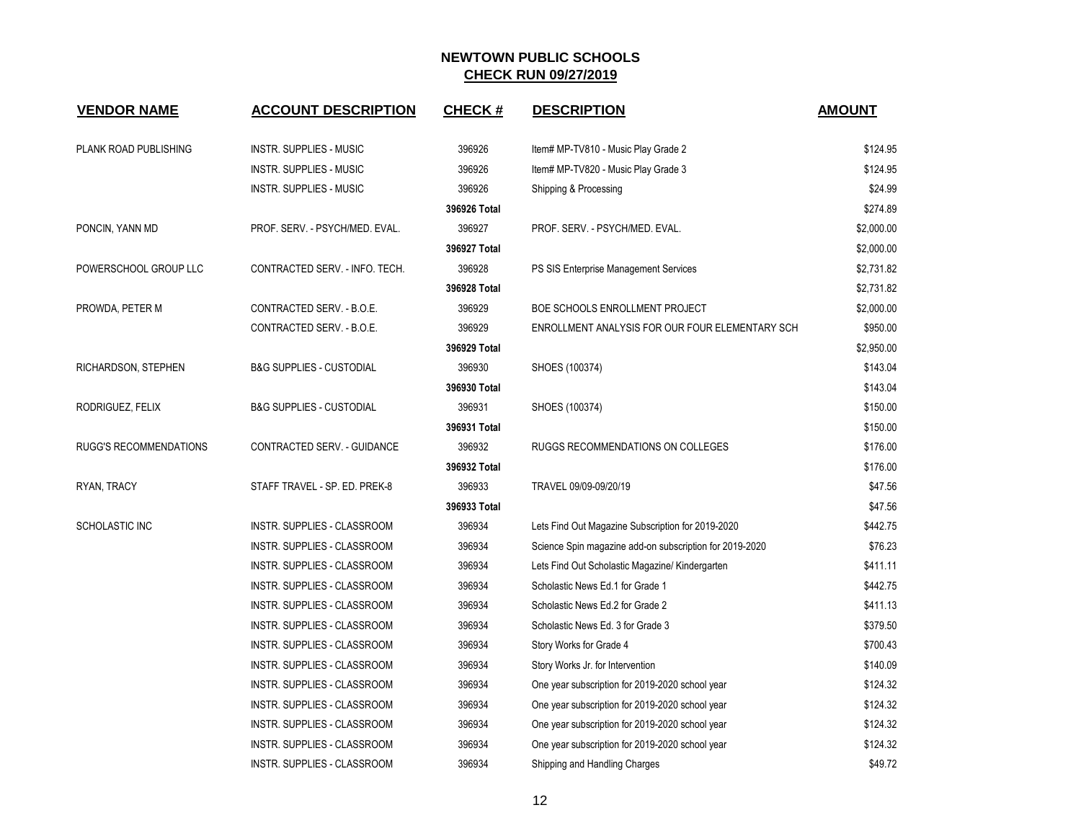| <b>VENDOR NAME</b>            | <b>ACCOUNT DESCRIPTION</b>          | <b>CHECK#</b> | <b>DESCRIPTION</b>                                      | <b>AMOUNT</b> |
|-------------------------------|-------------------------------------|---------------|---------------------------------------------------------|---------------|
| PLANK ROAD PUBLISHING         | INSTR. SUPPLIES - MUSIC             | 396926        | Item# MP-TV810 - Music Play Grade 2                     | \$124.95      |
|                               | <b>INSTR. SUPPLIES - MUSIC</b>      | 396926        | Item# MP-TV820 - Music Play Grade 3                     | \$124.95      |
|                               | <b>INSTR. SUPPLIES - MUSIC</b>      | 396926        | Shipping & Processing                                   | \$24.99       |
|                               |                                     | 396926 Total  |                                                         | \$274.89      |
| PONCIN, YANN MD               | PROF. SERV. - PSYCH/MED. EVAL.      | 396927        | PROF. SERV. - PSYCH/MED. EVAL.                          | \$2,000.00    |
|                               |                                     | 396927 Total  |                                                         | \$2,000.00    |
| POWERSCHOOL GROUP LLC         | CONTRACTED SERV. - INFO. TECH.      | 396928        | PS SIS Enterprise Management Services                   | \$2,731.82    |
|                               |                                     | 396928 Total  |                                                         | \$2,731.82    |
| PROWDA, PETER M               | CONTRACTED SERV. - B.O.E.           | 396929        | BOE SCHOOLS ENROLLMENT PROJECT                          | \$2,000.00    |
|                               | CONTRACTED SERV. - B.O.E.           | 396929        | ENROLLMENT ANALYSIS FOR OUR FOUR ELEMENTARY SCH         | \$950.00      |
|                               |                                     | 396929 Total  |                                                         | \$2,950.00    |
| RICHARDSON, STEPHEN           | <b>B&amp;G SUPPLIES - CUSTODIAL</b> | 396930        | SHOES (100374)                                          | \$143.04      |
|                               |                                     | 396930 Total  |                                                         | \$143.04      |
| RODRIGUEZ, FELIX              | <b>B&amp;G SUPPLIES - CUSTODIAL</b> | 396931        | SHOES (100374)                                          | \$150.00      |
|                               |                                     | 396931 Total  |                                                         | \$150.00      |
| <b>RUGG'S RECOMMENDATIONS</b> | CONTRACTED SERV. - GUIDANCE         | 396932        | RUGGS RECOMMENDATIONS ON COLLEGES                       | \$176.00      |
|                               |                                     | 396932 Total  |                                                         | \$176.00      |
| RYAN, TRACY                   | STAFF TRAVEL - SP. ED. PREK-8       | 396933        | TRAVEL 09/09-09/20/19                                   | \$47.56       |
|                               |                                     | 396933 Total  |                                                         | \$47.56       |
| <b>SCHOLASTIC INC</b>         | INSTR. SUPPLIES - CLASSROOM         | 396934        | Lets Find Out Magazine Subscription for 2019-2020       | \$442.75      |
|                               | INSTR. SUPPLIES - CLASSROOM         | 396934        | Science Spin magazine add-on subscription for 2019-2020 | \$76.23       |
|                               | INSTR. SUPPLIES - CLASSROOM         | 396934        | Lets Find Out Scholastic Magazine/ Kindergarten         | \$411.11      |
|                               | INSTR. SUPPLIES - CLASSROOM         | 396934        | Scholastic News Ed.1 for Grade 1                        | \$442.75      |
|                               | INSTR. SUPPLIES - CLASSROOM         | 396934        | Scholastic News Ed.2 for Grade 2                        | \$411.13      |
|                               | INSTR. SUPPLIES - CLASSROOM         | 396934        | Scholastic News Ed. 3 for Grade 3                       | \$379.50      |
|                               | INSTR. SUPPLIES - CLASSROOM         | 396934        | Story Works for Grade 4                                 | \$700.43      |
|                               | INSTR. SUPPLIES - CLASSROOM         | 396934        | Story Works Jr. for Intervention                        | \$140.09      |
|                               | INSTR. SUPPLIES - CLASSROOM         | 396934        | One year subscription for 2019-2020 school year         | \$124.32      |
|                               | INSTR. SUPPLIES - CLASSROOM         | 396934        | One year subscription for 2019-2020 school year         | \$124.32      |
|                               | INSTR. SUPPLIES - CLASSROOM         | 396934        | One year subscription for 2019-2020 school year         | \$124.32      |
|                               | INSTR. SUPPLIES - CLASSROOM         | 396934        | One year subscription for 2019-2020 school year         | \$124.32      |
|                               | INSTR. SUPPLIES - CLASSROOM         | 396934        | Shipping and Handling Charges                           | \$49.72       |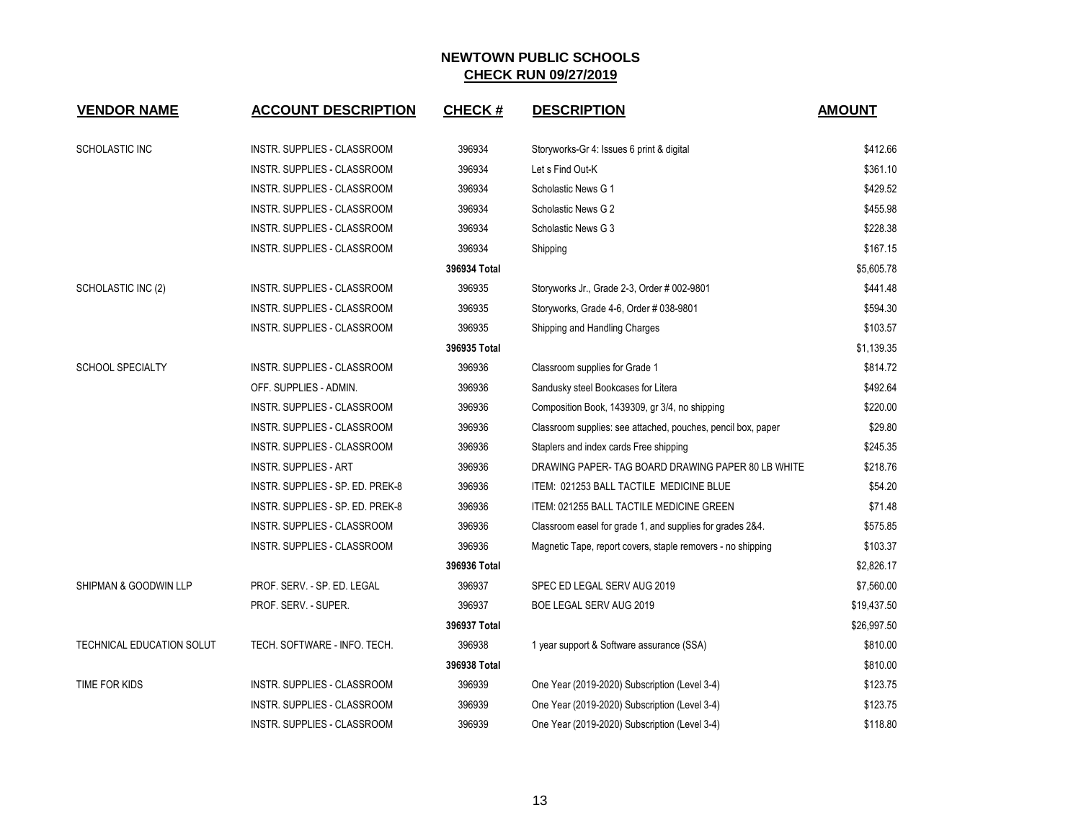| <b>VENDOR NAME</b>               | <b>ACCOUNT DESCRIPTION</b>         | <b>CHECK#</b> | <b>DESCRIPTION</b>                                           | <b>AMOUNT</b> |
|----------------------------------|------------------------------------|---------------|--------------------------------------------------------------|---------------|
|                                  |                                    |               |                                                              |               |
| <b>SCHOLASTIC INC</b>            | INSTR. SUPPLIES - CLASSROOM        | 396934        | Storyworks-Gr 4: Issues 6 print & digital                    | \$412.66      |
|                                  | INSTR. SUPPLIES - CLASSROOM        | 396934        | Let s Find Out-K                                             | \$361.10      |
|                                  | INSTR. SUPPLIES - CLASSROOM        | 396934        | Scholastic News G 1                                          | \$429.52      |
|                                  | INSTR. SUPPLIES - CLASSROOM        | 396934        | Scholastic News G 2                                          | \$455.98      |
|                                  | <b>INSTR. SUPPLIES - CLASSROOM</b> | 396934        | Scholastic News G 3                                          | \$228.38      |
|                                  | <b>INSTR. SUPPLIES - CLASSROOM</b> | 396934        | Shipping                                                     | \$167.15      |
|                                  |                                    | 396934 Total  |                                                              | \$5,605.78    |
| SCHOLASTIC INC (2)               | <b>INSTR. SUPPLIES - CLASSROOM</b> | 396935        | Storyworks Jr., Grade 2-3, Order # 002-9801                  | \$441.48      |
|                                  | INSTR. SUPPLIES - CLASSROOM        | 396935        | Storyworks, Grade 4-6, Order # 038-9801                      | \$594.30      |
|                                  | INSTR. SUPPLIES - CLASSROOM        | 396935        | Shipping and Handling Charges                                | \$103.57      |
|                                  |                                    | 396935 Total  |                                                              | \$1,139.35    |
| <b>SCHOOL SPECIALTY</b>          | INSTR. SUPPLIES - CLASSROOM        | 396936        | Classroom supplies for Grade 1                               | \$814.72      |
|                                  | OFF. SUPPLIES - ADMIN.             | 396936        | Sandusky steel Bookcases for Litera                          | \$492.64      |
|                                  | INSTR. SUPPLIES - CLASSROOM        | 396936        | Composition Book, 1439309, gr 3/4, no shipping               | \$220.00      |
|                                  | INSTR. SUPPLIES - CLASSROOM        | 396936        | Classroom supplies: see attached, pouches, pencil box, paper | \$29.80       |
|                                  | INSTR. SUPPLIES - CLASSROOM        | 396936        | Staplers and index cards Free shipping                       | \$245.35      |
|                                  | <b>INSTR. SUPPLIES - ART</b>       | 396936        | DRAWING PAPER- TAG BOARD DRAWING PAPER 80 LB WHITE           | \$218.76      |
|                                  | INSTR. SUPPLIES - SP. ED. PREK-8   | 396936        | ITEM: 021253 BALL TACTILE MEDICINE BLUE                      | \$54.20       |
|                                  | INSTR. SUPPLIES - SP. ED. PREK-8   | 396936        | ITEM: 021255 BALL TACTILE MEDICINE GREEN                     | \$71.48       |
|                                  | <b>INSTR. SUPPLIES - CLASSROOM</b> | 396936        | Classroom easel for grade 1, and supplies for grades 2&4.    | \$575.85      |
|                                  | INSTR. SUPPLIES - CLASSROOM        | 396936        | Magnetic Tape, report covers, staple removers - no shipping  | \$103.37      |
|                                  |                                    | 396936 Total  |                                                              | \$2,826.17    |
| <b>SHIPMAN &amp; GOODWIN LLP</b> | PROF. SERV. - SP. ED. LEGAL        | 396937        | SPEC ED LEGAL SERV AUG 2019                                  | \$7,560.00    |
|                                  | PROF. SERV. - SUPER.               | 396937        | BOE LEGAL SERV AUG 2019                                      | \$19,437.50   |
|                                  |                                    | 396937 Total  |                                                              | \$26,997.50   |
| <b>TECHNICAL EDUCATION SOLUT</b> | TECH. SOFTWARE - INFO. TECH.       | 396938        | 1 year support & Software assurance (SSA)                    | \$810.00      |
|                                  |                                    | 396938 Total  |                                                              | \$810.00      |
| TIME FOR KIDS                    | INSTR. SUPPLIES - CLASSROOM        | 396939        | One Year (2019-2020) Subscription (Level 3-4)                | \$123.75      |
|                                  | INSTR. SUPPLIES - CLASSROOM        | 396939        | One Year (2019-2020) Subscription (Level 3-4)                | \$123.75      |
|                                  | <b>INSTR. SUPPLIES - CLASSROOM</b> | 396939        | One Year (2019-2020) Subscription (Level 3-4)                | \$118.80      |